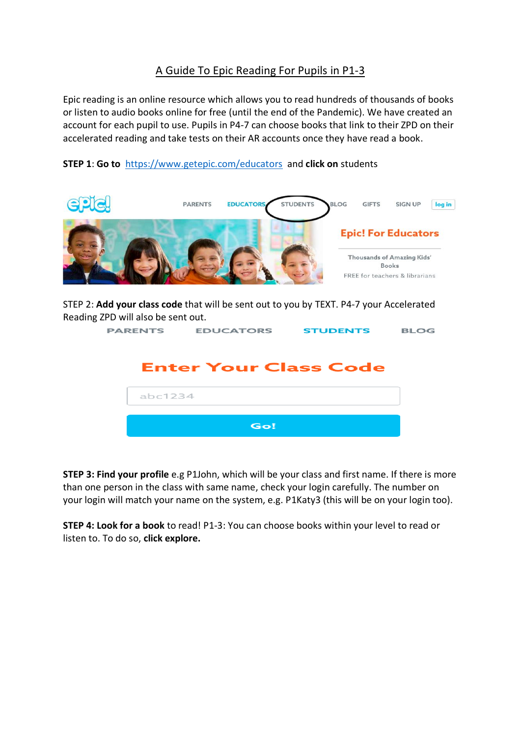## A Guide To Epic Reading For Pupils in P1-3

Epic reading is an online resource which allows you to read hundreds of thousands of books or listen to audio books online for free (until the end of the Pandemic). We have created an account for each pupil to use. Pupils in P4-7 can choose books that link to their ZPD on their accelerated reading and take tests on their AR accounts once they have read a book.





STEP 2: **Add your class code** that will be sent out to you by TEXT. P4-7 your Accelerated Reading ZPD will also be sent out.

| <b>PARENTS EDUCATORS STUDENTS</b> | <b>BLOG</b> |
|-----------------------------------|-------------|
| <b>Enter Your Class Code</b>      |             |
| abc1234                           |             |
| Go!                               |             |

**STEP 3: Find your profile** e.g P1John, which will be your class and first name. If there is more than one person in the class with same name, check your login carefully. The number on your login will match your name on the system, e.g. P1Katy3 (this will be on your login too).

**STEP 4: Look for a book** to read! P1-3: You can choose books within your level to read or listen to. To do so, **click explore.**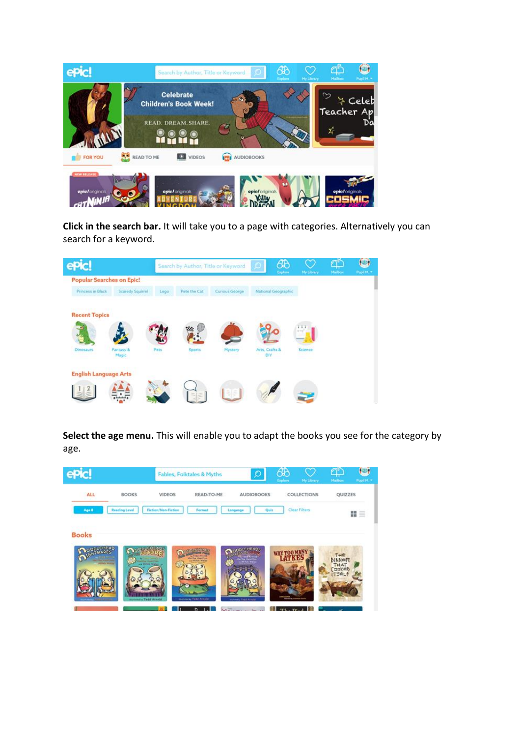

**Click in the search bar.** It will take you to a page with categories. Alternatively you can search for a keyword.

| epic                             |                         | Search by Author, Title or Keyword |                | රැදි<br>Explore | My Library                   | Malbox  | O<br>Papil M. |  |
|----------------------------------|-------------------------|------------------------------------|----------------|-----------------|------------------------------|---------|---------------|--|
| <b>Popular Searches on Epic!</b> |                         |                                    |                |                 |                              |         |               |  |
| Princess in Black                | <b>Scaredy Squirrel</b> | Lego                               | Pete the Cat   | Curious George  | National Geographic          |         |               |  |
| <b>Recent Topics</b>             |                         |                                    |                |                 |                              |         |               |  |
|                                  |                         |                                    |                |                 |                              |         |               |  |
| Dinosaurs.                       | Fantasy &<br>Magic      | Pets                               | Sports<br>n ya | Mystery         | Arts, Crafts &<br><b>DIY</b> | Science |               |  |
| <b>English Language Arts</b>     |                         |                                    |                |                 |                              |         |               |  |
|                                  |                         |                                    |                |                 |                              |         |               |  |

**Select the age menu.** This will enable you to adapt the books you see for the category by age.

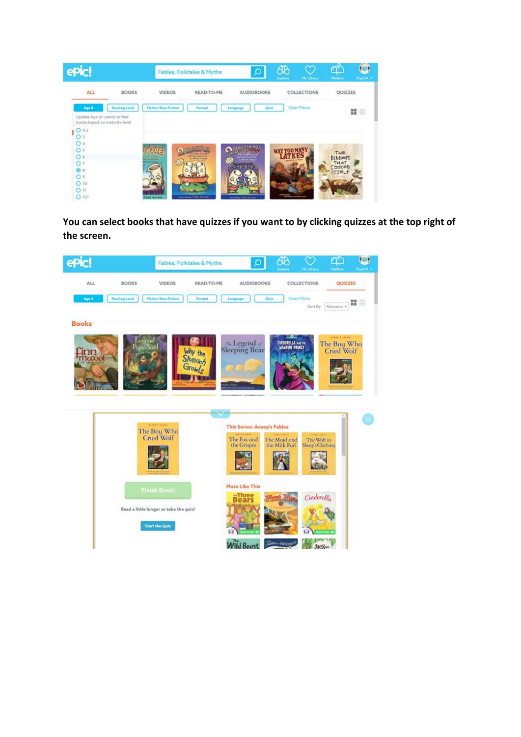| G M                                                                                              |                                               | Fables, Folktales & Myths                  | $\mathcal{O}$                                    | 48<br>Explore | My Library    | Malbox               | О<br>Pupil M. |
|--------------------------------------------------------------------------------------------------|-----------------------------------------------|--------------------------------------------|--------------------------------------------------|---------------|---------------|----------------------|---------------|
| <b>ALL</b><br><b>BOOKS</b>                                                                       | <b>VIDEOS</b>                                 | READ-TO-ME                                 | <b>AUDIOBOOKS</b>                                |               | COLLECTIONS   | <b>QUIZZES</b>       |               |
| Age 8<br><b>Reading Level</b><br>Update Age (in years) to find<br>books based on maturity level. | Fiction/Non-Fiction                           | Format                                     | Quis<br>Language                                 |               | Clear Filters |                      | 琵三            |
| $O 0-2$<br>O <sub>3</sub><br>O <sub>4</sub><br>O <sub>5</sub><br>O6                              | al E ME Alba<br><b>ALL MARKETING</b>          | <b>Martin Hamilton</b><br>are Milita Wolds | <b>WEB MITNING</b><br><b>Griffice Masketburg</b> |               |               | THE<br><b>DINNER</b> |               |
| O <sub>7</sub><br>⊙8<br>O.9<br>O <sub>10</sub><br>O 11<br>$O 12+$                                | <b>Hitch Waller Jr.</b><br><b>Wald Armord</b> | <b><i>Sherwind by Tituld Armstall</i></b>  | <b>INTER WATER</b><br>meters Tedd Artista        |               |               | THAT<br>[DRKED]      |               |

**You can select books that have quizzes if you want to by clicking quizzes at the top right of the screen.**